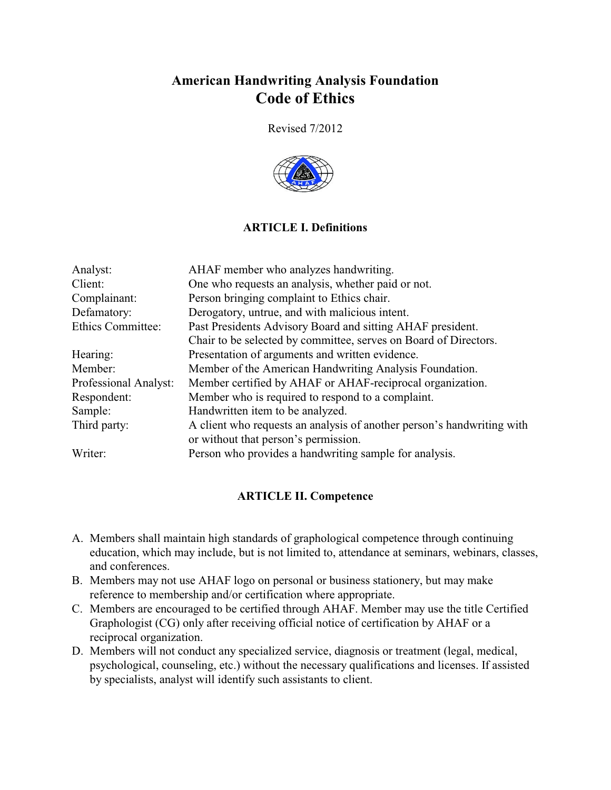# **American Handwriting Analysis Foundation Code of Ethics**

Revised 7/2012



# **ARTICLE I. Definitions**

| Analyst:              | AHAF member who analyzes handwriting.                                  |
|-----------------------|------------------------------------------------------------------------|
| Client:               | One who requests an analysis, whether paid or not.                     |
| Complainant:          | Person bringing complaint to Ethics chair.                             |
| Defamatory:           | Derogatory, untrue, and with malicious intent.                         |
| Ethics Committee:     | Past Presidents Advisory Board and sitting AHAF president.             |
|                       | Chair to be selected by committee, serves on Board of Directors.       |
| Hearing:              | Presentation of arguments and written evidence.                        |
| Member:               | Member of the American Handwriting Analysis Foundation.                |
| Professional Analyst: | Member certified by AHAF or AHAF-reciprocal organization.              |
| Respondent:           | Member who is required to respond to a complaint.                      |
| Sample:               | Handwritten item to be analyzed.                                       |
| Third party:          | A client who requests an analysis of another person's handwriting with |
|                       | or without that person's permission.                                   |
| Writer:               | Person who provides a handwriting sample for analysis.                 |

# **ARTICLE II. Competence**

- A. Members shall maintain high standards of graphological competence through continuing education, which may include, but is not limited to, attendance at seminars, webinars, classes, and conferences.
- B. Members may not use AHAF logo on personal or business stationery, but may make reference to membership and/or certification where appropriate.
- C. Members are encouraged to be certified through AHAF. Member may use the title Certified Graphologist (CG) only after receiving official notice of certification by AHAF or a reciprocal organization.
- D. Members will not conduct any specialized service, diagnosis or treatment (legal, medical, psychological, counseling, etc.) without the necessary qualifications and licenses. If assisted by specialists, analyst will identify such assistants to client.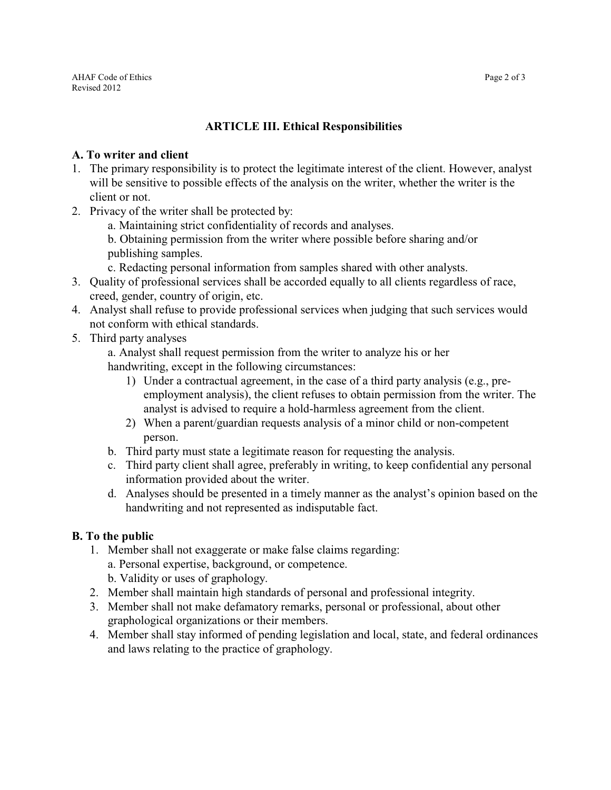# **ARTICLE III. Ethical Responsibilities**

#### **A. To writer and client**

- 1. The primary responsibility is to protect the legitimate interest of the client. However, analyst will be sensitive to possible effects of the analysis on the writer, whether the writer is the client or not.
- 2. Privacy of the writer shall be protected by:
	- a. Maintaining strict confidentiality of records and analyses.
	- b. Obtaining permission from the writer where possible before sharing and/or publishing samples.

c. Redacting personal information from samples shared with other analysts.

- 3. Quality of professional services shall be accorded equally to all clients regardless of race, creed, gender, country of origin, etc.
- 4. Analyst shall refuse to provide professional services when judging that such services would not conform with ethical standards.
- 5. Third party analyses

a. Analyst shall request permission from the writer to analyze his or her handwriting, except in the following circumstances:

- 1) Under a contractual agreement, in the case of a third party analysis (e.g., preemployment analysis), the client refuses to obtain permission from the writer. The analyst is advised to require a hold-harmless agreement from the client.
- 2) When a parent/guardian requests analysis of a minor child or non-competent person.
- b. Third party must state a legitimate reason for requesting the analysis.
- c. Third party client shall agree, preferably in writing, to keep confidential any personal information provided about the writer.
- d. Analyses should be presented in a timely manner as the analyst's opinion based on the handwriting and not represented as indisputable fact.

# **B. To the public**

- 1. Member shall not exaggerate or make false claims regarding: a. Personal expertise, background, or competence.
	- b. Validity or uses of graphology.
- 2. Member shall maintain high standards of personal and professional integrity.
- 3. Member shall not make defamatory remarks, personal or professional, about other graphological organizations or their members.
- 4. Member shall stay informed of pending legislation and local, state, and federal ordinances and laws relating to the practice of graphology.